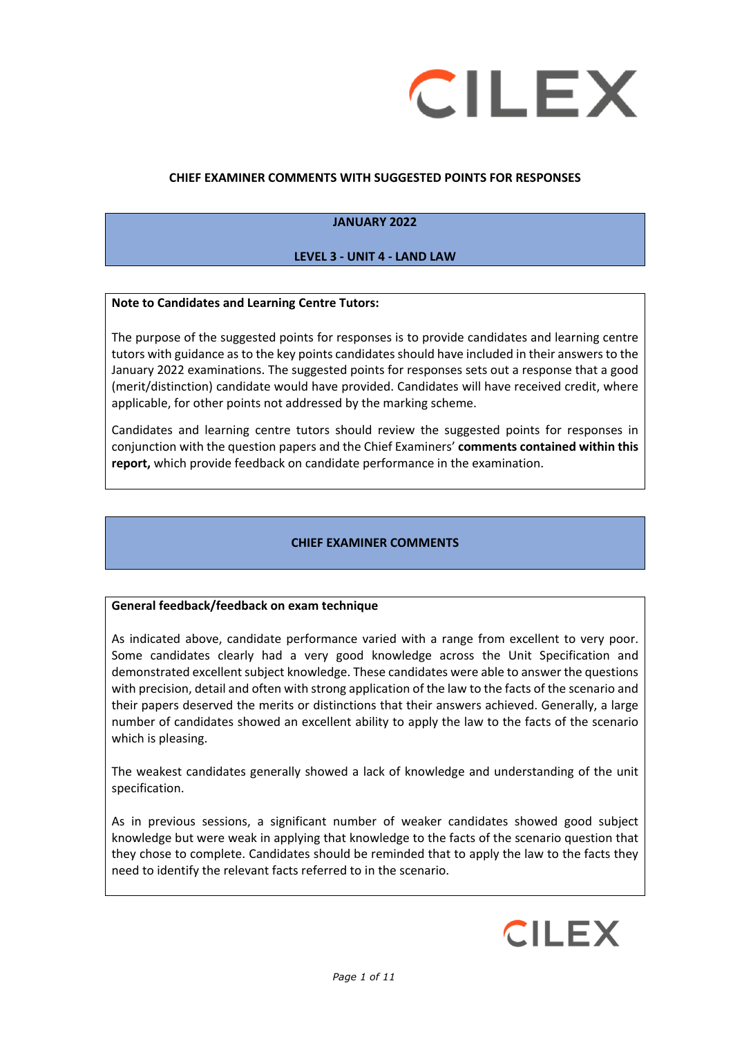

## **CHIEF EXAMINER COMMENTS WITH SUGGESTED POINTS FOR RESPONSES**

# **JANUARY 2022**

## **LEVEL 3 - UNIT 4 - LAND LAW**

### **Note to Candidates and Learning Centre Tutors:**

The purpose of the suggested points for responses is to provide candidates and learning centre tutors with guidance as to the key points candidates should have included in their answers to the January 2022 examinations. The suggested points for responses sets out a response that a good (merit/distinction) candidate would have provided. Candidates will have received credit, where applicable, for other points not addressed by the marking scheme.

Candidates and learning centre tutors should review the suggested points for responses in conjunction with the question papers and the Chief Examiners' **comments contained within this report,** which provide feedback on candidate performance in the examination.

## **CHIEF EXAMINER COMMENTS**

#### **General feedback/feedback on exam technique**

As indicated above, candidate performance varied with a range from excellent to very poor. Some candidates clearly had a very good knowledge across the Unit Specification and demonstrated excellent subject knowledge. These candidates were able to answer the questions with precision, detail and often with strong application of the law to the facts of the scenario and their papers deserved the merits or distinctions that their answers achieved. Generally, a large number of candidates showed an excellent ability to apply the law to the facts of the scenario which is pleasing.

The weakest candidates generally showed a lack of knowledge and understanding of the unit specification.

As in previous sessions, a significant number of weaker candidates showed good subject knowledge but were weak in applying that knowledge to the facts of the scenario question that they chose to complete. Candidates should be reminded that to apply the law to the facts they need to identify the relevant facts referred to in the scenario.

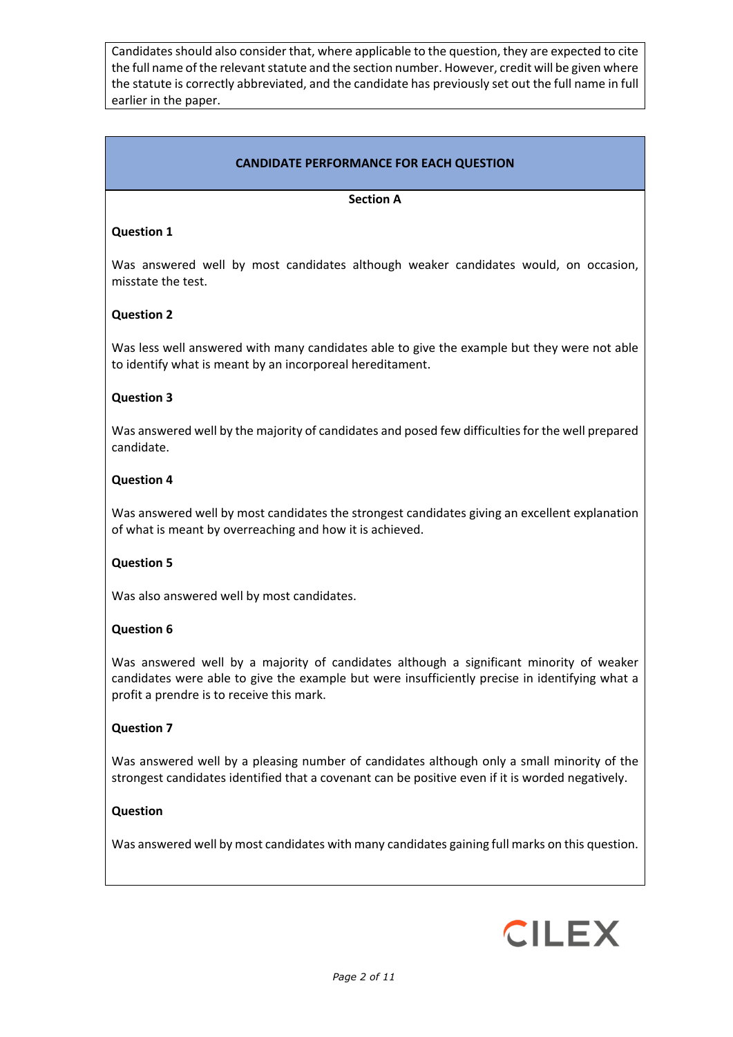Candidates should also consider that, where applicable to the question, they are expected to cite the full name of the relevant statute and the section number. However, credit will be given where the statute is correctly abbreviated, and the candidate has previously set out the full name in full earlier in the paper.

# **CANDIDATE PERFORMANCE FOR EACH QUESTION**

### **Section A**

### **Question 1**

Was answered well by most candidates although weaker candidates would, on occasion, misstate the test.

### **Question 2**

Was less well answered with many candidates able to give the example but they were not able to identify what is meant by an incorporeal hereditament.

#### **Question 3**

Was answered well by the majority of candidates and posed few difficulties for the well prepared candidate.

#### **Question 4**

Was answered well by most candidates the strongest candidates giving an excellent explanation of what is meant by overreaching and how it is achieved.

#### **Question 5**

Was also answered well by most candidates.

#### **Question 6**

Was answered well by a majority of candidates although a significant minority of weaker candidates were able to give the example but were insufficiently precise in identifying what a profit a prendre is to receive this mark.

#### **Question 7**

Was answered well by a pleasing number of candidates although only a small minority of the strongest candidates identified that a covenant can be positive even if it is worded negatively.

#### **Question**

Was answered well by most candidates with many candidates gaining full marks on this question.

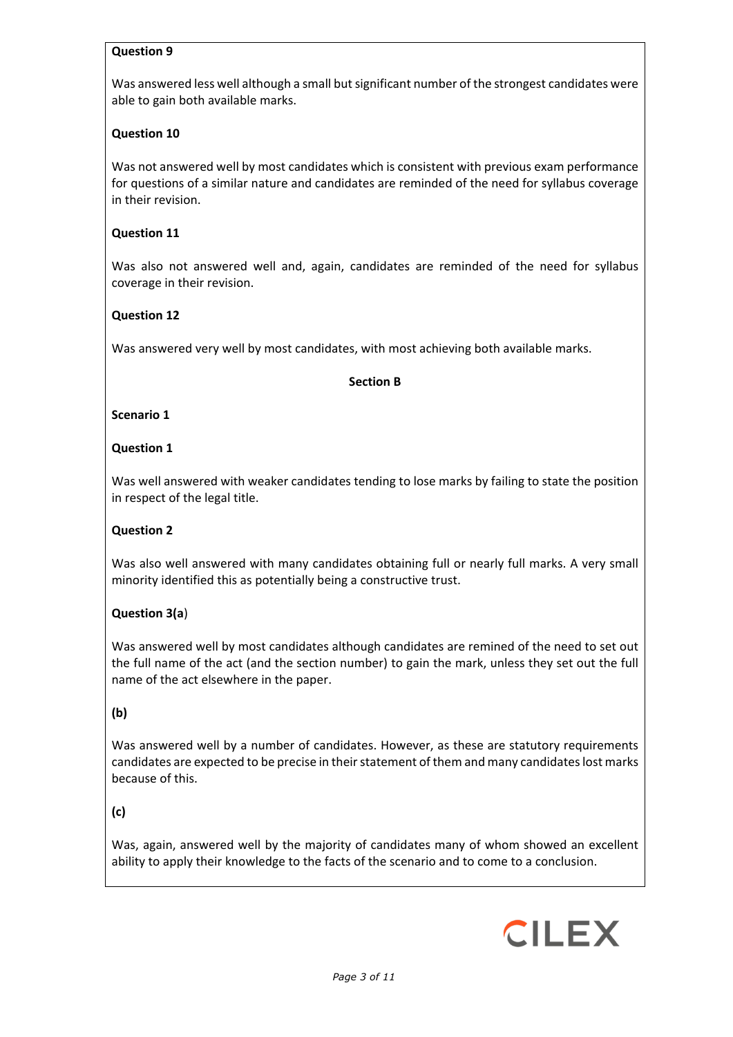### **Question 9**

Was answered less well although a small but significant number of the strongest candidates were able to gain both available marks.

### **Question 10**

Was not answered well by most candidates which is consistent with previous exam performance for questions of a similar nature and candidates are reminded of the need for syllabus coverage in their revision.

### **Question 11**

Was also not answered well and, again, candidates are reminded of the need for syllabus coverage in their revision.

### **Question 12**

Was answered very well by most candidates, with most achieving both available marks.

#### **Section B**

#### **Scenario 1**

### **Question 1**

Was well answered with weaker candidates tending to lose marks by failing to state the position in respect of the legal title.

## **Question 2**

Was also well answered with many candidates obtaining full or nearly full marks. A very small minority identified this as potentially being a constructive trust.

## **Question 3(a**)

Was answered well by most candidates although candidates are remined of the need to set out the full name of the act (and the section number) to gain the mark, unless they set out the full name of the act elsewhere in the paper.

## **(b)**

Was answered well by a number of candidates. However, as these are statutory requirements candidates are expected to be precise in their statement of them and many candidates lost marks because of this.

## **(c)**

Was, again, answered well by the majority of candidates many of whom showed an excellent ability to apply their knowledge to the facts of the scenario and to come to a conclusion.

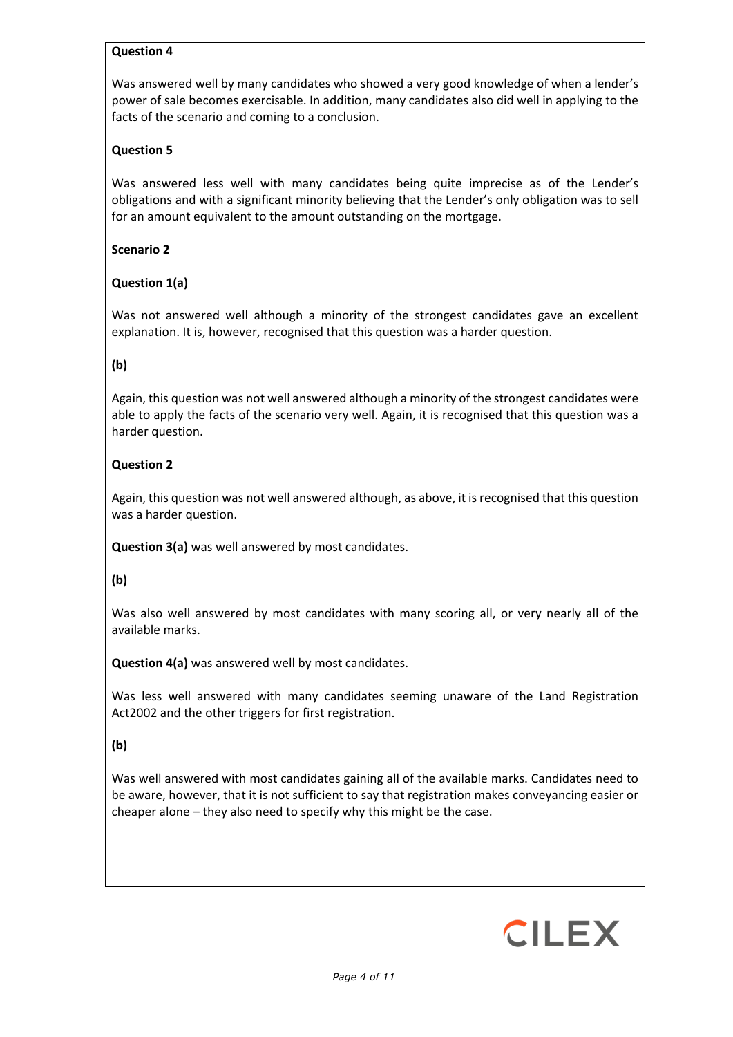### **Question 4**

Was answered well by many candidates who showed a very good knowledge of when a lender's power of sale becomes exercisable. In addition, many candidates also did well in applying to the facts of the scenario and coming to a conclusion.

## **Question 5**

Was answered less well with many candidates being quite imprecise as of the Lender's obligations and with a significant minority believing that the Lender's only obligation was to sell for an amount equivalent to the amount outstanding on the mortgage.

### **Scenario 2**

## **Question 1(a)**

Was not answered well although a minority of the strongest candidates gave an excellent explanation. It is, however, recognised that this question was a harder question.

## **(b)**

Again, this question was not well answered although a minority of the strongest candidates were able to apply the facts of the scenario very well. Again, it is recognised that this question was a harder question.

### **Question 2**

Again, this question was not well answered although, as above, it is recognised that this question was a harder question.

**Question 3(a)** was well answered by most candidates.

#### **(b)**

Was also well answered by most candidates with many scoring all, or very nearly all of the available marks.

**Question 4(a)** was answered well by most candidates.

Was less well answered with many candidates seeming unaware of the Land Registration Act2002 and the other triggers for first registration.

#### **(b)**

Was well answered with most candidates gaining all of the available marks. Candidates need to be aware, however, that it is not sufficient to say that registration makes conveyancing easier or cheaper alone – they also need to specify why this might be the case.

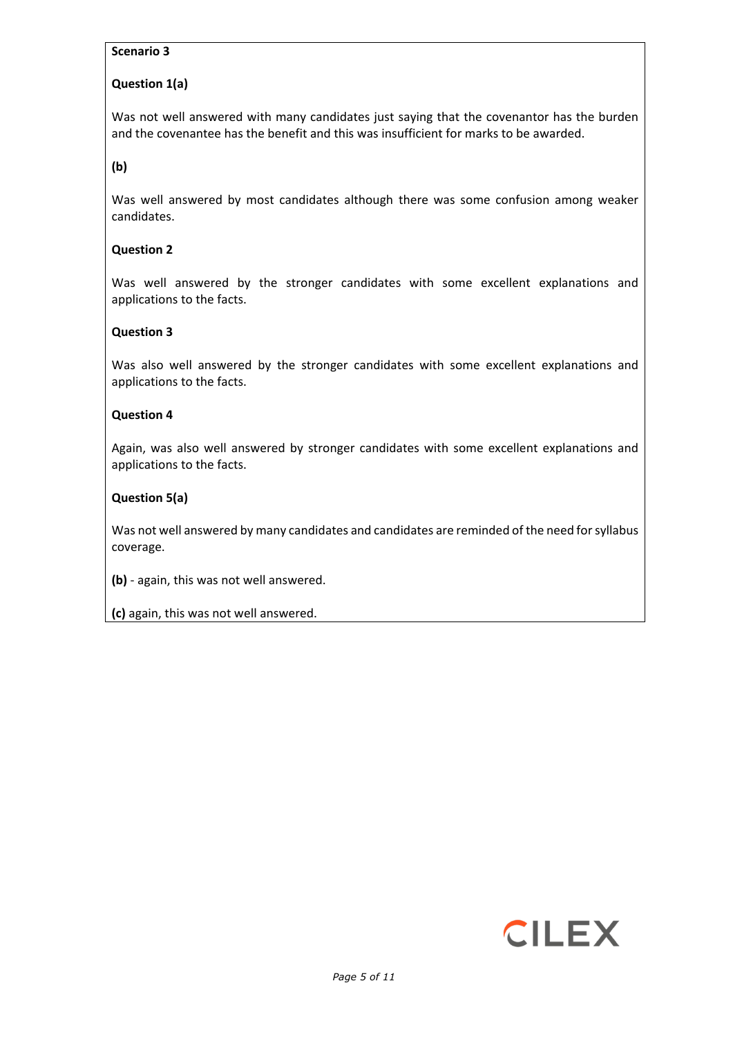## **Scenario 3**

# **Question 1(a)**

Was not well answered with many candidates just saying that the covenantor has the burden and the covenantee has the benefit and this was insufficient for marks to be awarded.

**(b)**

Was well answered by most candidates although there was some confusion among weaker candidates.

### **Question 2**

Was well answered by the stronger candidates with some excellent explanations and applications to the facts.

### **Question 3**

Was also well answered by the stronger candidates with some excellent explanations and applications to the facts.

#### **Question 4**

Again, was also well answered by stronger candidates with some excellent explanations and applications to the facts.

## **Question 5(a)**

Was not well answered by many candidates and candidates are reminded of the need for syllabus coverage.

**(b)** - again, this was not well answered.

**(c)** again, this was not well answered.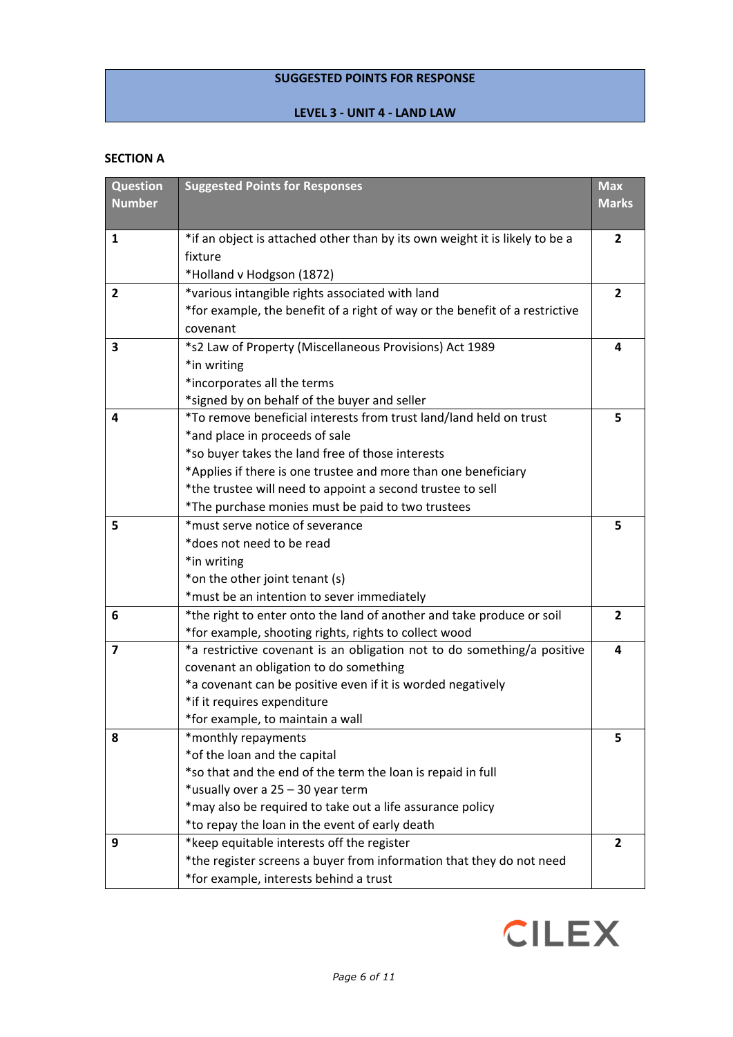# **SUGGESTED POINTS FOR RESPONSE**

### **LEVEL 3 - UNIT 4 - LAND LAW**

## **SECTION A**

| <b>Question</b> | <b>Suggested Points for Responses</b>                                       | <b>Max</b>     |
|-----------------|-----------------------------------------------------------------------------|----------------|
| <b>Number</b>   |                                                                             | <b>Marks</b>   |
|                 |                                                                             |                |
| $\mathbf{1}$    | *if an object is attached other than by its own weight it is likely to be a | $\overline{2}$ |
|                 | fixture                                                                     |                |
|                 | *Holland v Hodgson (1872)                                                   |                |
| $\overline{2}$  | *various intangible rights associated with land                             | $\overline{2}$ |
|                 | *for example, the benefit of a right of way or the benefit of a restrictive |                |
|                 | covenant                                                                    |                |
| 3               | *s2 Law of Property (Miscellaneous Provisions) Act 1989                     | 4              |
|                 | *in writing                                                                 |                |
|                 | *incorporates all the terms                                                 |                |
|                 | *signed by on behalf of the buyer and seller                                |                |
| 4               | *To remove beneficial interests from trust land/land held on trust          | 5              |
|                 | *and place in proceeds of sale                                              |                |
|                 | *so buyer takes the land free of those interests                            |                |
|                 | *Applies if there is one trustee and more than one beneficiary              |                |
|                 | *the trustee will need to appoint a second trustee to sell                  |                |
|                 | *The purchase monies must be paid to two trustees                           |                |
| 5               | *must serve notice of severance                                             | 5              |
|                 | *does not need to be read                                                   |                |
|                 | *in writing                                                                 |                |
|                 | *on the other joint tenant (s)                                              |                |
|                 | *must be an intention to sever immediately                                  |                |
| 6               | *the right to enter onto the land of another and take produce or soil       | $\mathbf{2}$   |
|                 | *for example, shooting rights, rights to collect wood                       |                |
| $\overline{7}$  | *a restrictive covenant is an obligation not to do something/a positive     | 4              |
|                 | covenant an obligation to do something                                      |                |
|                 | *a covenant can be positive even if it is worded negatively                 |                |
|                 | *if it requires expenditure                                                 |                |
|                 | *for example, to maintain a wall                                            |                |
| 8               | *monthly repayments                                                         | 5              |
|                 | *of the loan and the capital                                                |                |
|                 | *so that and the end of the term the loan is repaid in full                 |                |
|                 | *usually over a 25 - 30 year term                                           |                |
|                 | *may also be required to take out a life assurance policy                   |                |
|                 | *to repay the loan in the event of early death                              |                |
| 9               | *keep equitable interests off the register                                  | $\mathbf{2}$   |
|                 | *the register screens a buyer from information that they do not need        |                |
|                 | *for example, interests behind a trust                                      |                |

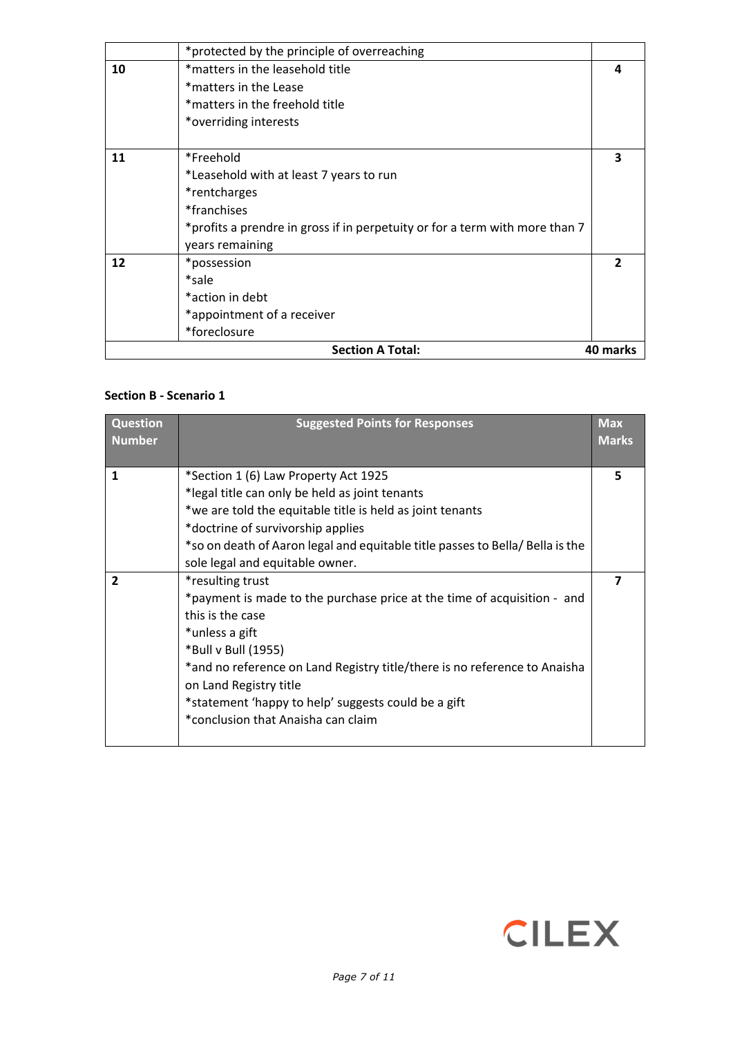|    | <b>Section A Total:</b>                                                     | 40 marks |
|----|-----------------------------------------------------------------------------|----------|
|    | *foreclosure                                                                |          |
|    | *appointment of a receiver                                                  |          |
|    | *action in debt                                                             |          |
|    | *sale                                                                       |          |
| 12 | *possession                                                                 |          |
|    | years remaining                                                             |          |
|    | *profits a prendre in gross if in perpetuity or for a term with more than 7 |          |
|    | *franchises                                                                 |          |
|    | *rentcharges                                                                |          |
|    | *Leasehold with at least 7 years to run                                     |          |
| 11 | *Freehold                                                                   | 3        |
|    |                                                                             |          |
|    | *overriding interests                                                       |          |
|    | *matters in the freehold title                                              |          |
|    | *matters in the Lease                                                       |          |
| 10 | *matters in the leasehold title                                             | 4        |
|    | *protected by the principle of overreaching                                 |          |

### **Section B - Scenario 1**

| <b>Question</b><br><b>Number</b> | <b>Suggested Points for Responses</b>                                         | <b>Max</b><br><b>Marks</b> |
|----------------------------------|-------------------------------------------------------------------------------|----------------------------|
| 1                                | *Section 1 (6) Law Property Act 1925                                          | 5                          |
|                                  | *legal title can only be held as joint tenants                                |                            |
|                                  | *we are told the equitable title is held as joint tenants                     |                            |
|                                  | *doctrine of survivorship applies                                             |                            |
|                                  | *so on death of Aaron legal and equitable title passes to Bella/ Bella is the |                            |
|                                  | sole legal and equitable owner.                                               |                            |
| $\overline{2}$                   | *resulting trust                                                              |                            |
|                                  | *payment is made to the purchase price at the time of acquisition - and       |                            |
|                                  | this is the case                                                              |                            |
|                                  | *unless a gift                                                                |                            |
|                                  | *Bull v Bull (1955)                                                           |                            |
|                                  | *and no reference on Land Registry title/there is no reference to Anaisha     |                            |
|                                  | on Land Registry title                                                        |                            |
|                                  | *statement 'happy to help' suggests could be a gift                           |                            |
|                                  | *conclusion that Anaisha can claim                                            |                            |
|                                  |                                                                               |                            |

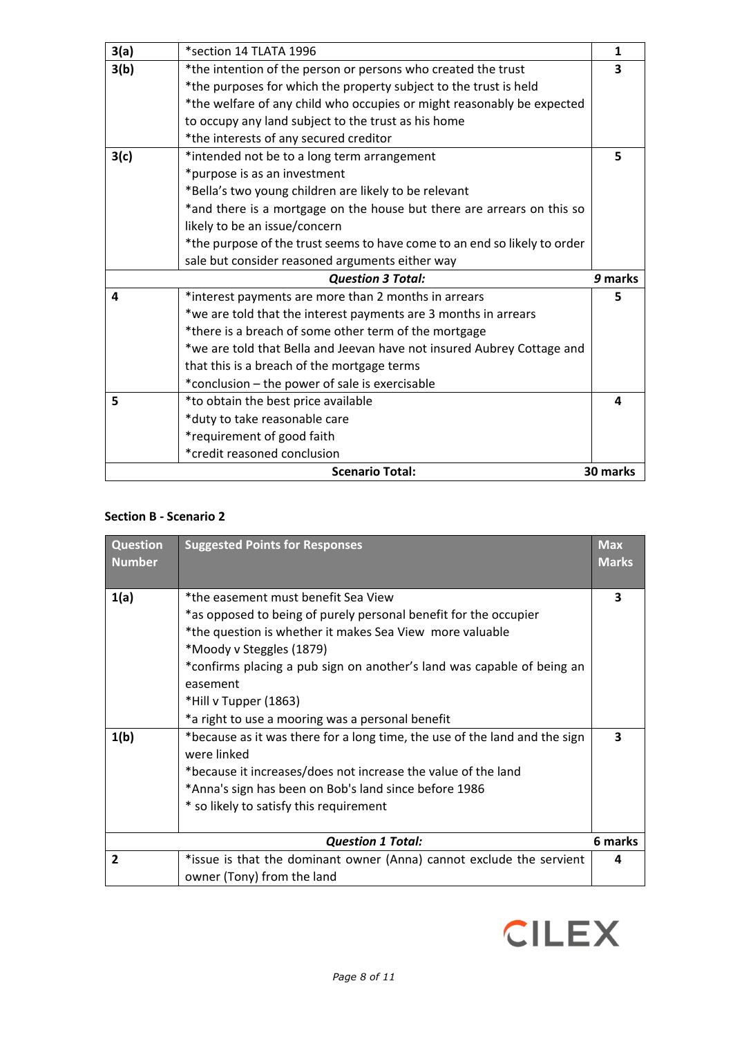|      | <b>Scenario Total:</b>                                                                                  | 30 marks     |
|------|---------------------------------------------------------------------------------------------------------|--------------|
|      | *credit reasoned conclusion                                                                             |              |
|      | *duty to take reasonable care<br>*requirement of good faith                                             |              |
| 5    | *to obtain the best price available                                                                     | 4            |
|      | *conclusion – the power of sale is exercisable                                                          |              |
|      | that this is a breach of the mortgage terms                                                             |              |
|      | *we are told that Bella and Jeevan have not insured Aubrey Cottage and                                  |              |
|      | *there is a breach of some other term of the mortgage                                                   |              |
|      | *we are told that the interest payments are 3 months in arrears                                         |              |
| 4    | *interest payments are more than 2 months in arrears                                                    | 5.           |
|      | <b>Question 3 Total:</b>                                                                                | 9 marks      |
|      | sale but consider reasoned arguments either way                                                         |              |
|      | *the purpose of the trust seems to have come to an end so likely to order                               |              |
|      | *and there is a mortgage on the house but there are arrears on this so<br>likely to be an issue/concern |              |
|      | *Bella's two young children are likely to be relevant                                                   |              |
|      | *purpose is as an investment                                                                            |              |
| 3(c) | *intended not be to a long term arrangement                                                             | 5            |
|      | *the interests of any secured creditor                                                                  |              |
|      | to occupy any land subject to the trust as his home                                                     |              |
|      | *the welfare of any child who occupies or might reasonably be expected                                  |              |
|      | *the purposes for which the property subject to the trust is held                                       |              |
| 3(b) | *the intention of the person or persons who created the trust                                           | 3            |
| 3(a) | *section 14 TLATA 1996                                                                                  | $\mathbf{1}$ |

## **Section B - Scenario 2**

| <b>Question</b><br><b>Number</b> | <b>Suggested Points for Responses</b>                                                                   | <b>Max</b><br><b>Marks</b> |
|----------------------------------|---------------------------------------------------------------------------------------------------------|----------------------------|
| 1(a)                             | *the easement must benefit Sea View<br>*as opposed to being of purely personal benefit for the occupier | 3                          |
|                                  | *the question is whether it makes Sea View more valuable<br>*Moody v Steggles (1879)                    |                            |
|                                  | *confirms placing a pub sign on another's land was capable of being an<br>easement                      |                            |
|                                  | *Hill v Tupper (1863)                                                                                   |                            |
|                                  | *a right to use a mooring was a personal benefit                                                        |                            |
| 1(b)                             | *because as it was there for a long time, the use of the land and the sign<br>were linked               | 3                          |
|                                  | *because it increases/does not increase the value of the land                                           |                            |
|                                  | *Anna's sign has been on Bob's land since before 1986                                                   |                            |
|                                  | * so likely to satisfy this requirement                                                                 |                            |
|                                  | <b>Question 1 Total:</b>                                                                                | 6 marks                    |
|                                  |                                                                                                         |                            |
| $\overline{2}$                   | *issue is that the dominant owner (Anna) cannot exclude the servient                                    |                            |
|                                  | owner (Tony) from the land                                                                              |                            |

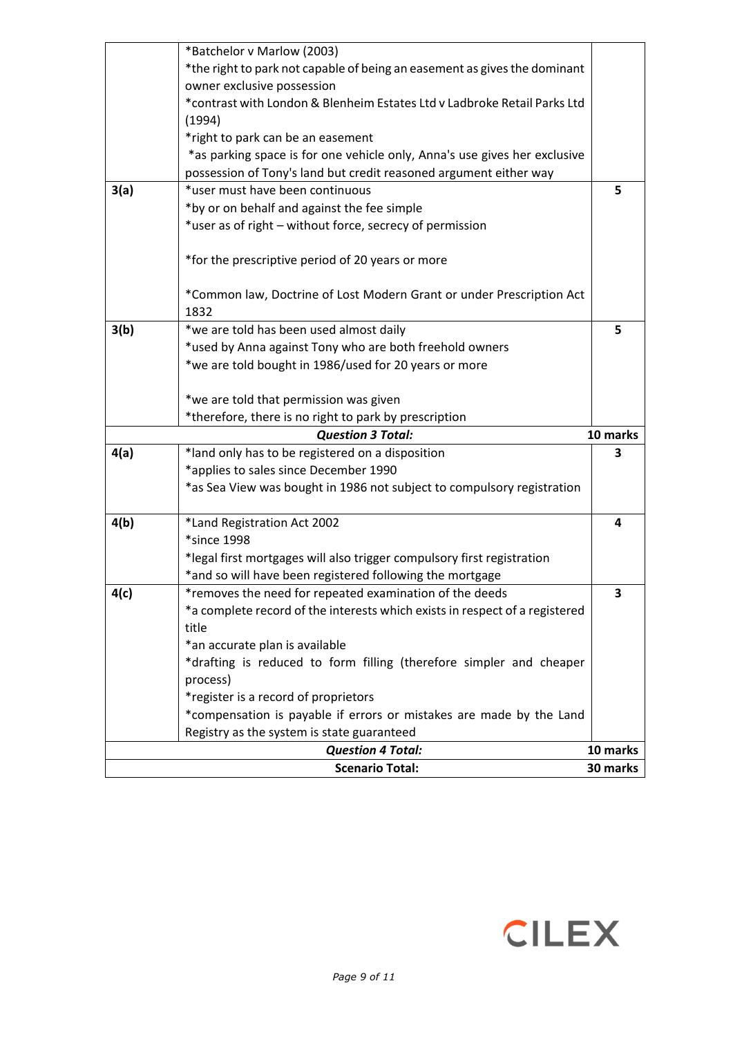|      | <b>Scenario Total:</b>                                                                                                                         | 30 marks |
|------|------------------------------------------------------------------------------------------------------------------------------------------------|----------|
|      | <b>Question 4 Total:</b>                                                                                                                       | 10 marks |
|      | Registry as the system is state guaranteed                                                                                                     |          |
|      | *compensation is payable if errors or mistakes are made by the Land                                                                            |          |
|      | *register is a record of proprietors                                                                                                           |          |
|      | process)                                                                                                                                       |          |
|      | *drafting is reduced to form filling (therefore simpler and cheaper                                                                            |          |
|      | title<br>*an accurate plan is available                                                                                                        |          |
|      | *a complete record of the interests which exists in respect of a registered                                                                    |          |
| 4(c) | *removes the need for repeated examination of the deeds                                                                                        | 3        |
|      | *and so will have been registered following the mortgage                                                                                       |          |
|      | *legal first mortgages will also trigger compulsory first registration                                                                         |          |
|      | *since 1998                                                                                                                                    |          |
| 4(b) | *Land Registration Act 2002                                                                                                                    | 4        |
|      | *as Sea View was bought in 1986 not subject to compulsory registration                                                                         |          |
|      | *applies to sales since December 1990                                                                                                          |          |
| 4(a) | *land only has to be registered on a disposition                                                                                               | 3        |
|      | <b>Question 3 Total:</b>                                                                                                                       | 10 marks |
|      | *therefore, there is no right to park by prescription                                                                                          |          |
|      | *we are told that permission was given                                                                                                         |          |
|      |                                                                                                                                                |          |
|      | *used by Anna against Tony who are both freehold owners<br>*we are told bought in 1986/used for 20 years or more                               |          |
| 3(b) | *we are told has been used almost daily                                                                                                        | 5        |
|      | 1832                                                                                                                                           |          |
|      | *Common law, Doctrine of Lost Modern Grant or under Prescription Act                                                                           |          |
|      | *for the prescriptive period of 20 years or more                                                                                               |          |
|      |                                                                                                                                                |          |
|      | *user as of right - without force, secrecy of permission                                                                                       |          |
|      | *by or on behalf and against the fee simple                                                                                                    |          |
| 3(a) | *user must have been continuous                                                                                                                | 5        |
|      | *as parking space is for one vehicle only, Anna's use gives her exclusive<br>possession of Tony's land but credit reasoned argument either way |          |
|      | *right to park can be an easement                                                                                                              |          |
|      | (1994)                                                                                                                                         |          |
|      | *contrast with London & Blenheim Estates Ltd v Ladbroke Retail Parks Ltd                                                                       |          |
|      | owner exclusive possession                                                                                                                     |          |
|      | *the right to park not capable of being an easement as gives the dominant                                                                      |          |
|      | *Batchelor v Marlow (2003)                                                                                                                     |          |

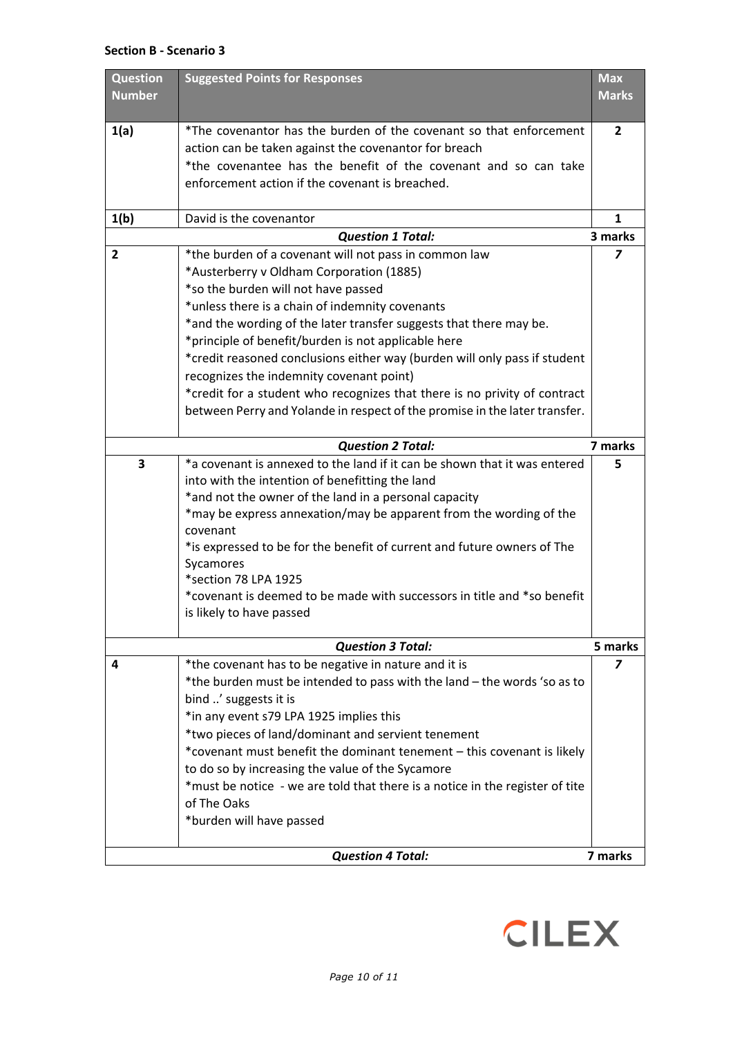#### **Section B - Scenario 3**

|                         | *the burden must be intended to pass with the land - the words 'so as to<br>bind ' suggests it is<br>*in any event s79 LPA 1925 implies this<br>*two pieces of land/dominant and servient tenement<br>*covenant must benefit the dominant tenement - this covenant is likely<br>to do so by increasing the value of the Sycamore<br>*must be notice - we are told that there is a notice in the register of tite |                           |
|-------------------------|------------------------------------------------------------------------------------------------------------------------------------------------------------------------------------------------------------------------------------------------------------------------------------------------------------------------------------------------------------------------------------------------------------------|---------------------------|
|                         |                                                                                                                                                                                                                                                                                                                                                                                                                  |                           |
|                         |                                                                                                                                                                                                                                                                                                                                                                                                                  |                           |
|                         |                                                                                                                                                                                                                                                                                                                                                                                                                  |                           |
|                         |                                                                                                                                                                                                                                                                                                                                                                                                                  |                           |
|                         |                                                                                                                                                                                                                                                                                                                                                                                                                  |                           |
|                         |                                                                                                                                                                                                                                                                                                                                                                                                                  |                           |
| 4                       | <b>Question 3 Total:</b><br>*the covenant has to be negative in nature and it is                                                                                                                                                                                                                                                                                                                                 | 5 marks<br>$\overline{z}$ |
|                         |                                                                                                                                                                                                                                                                                                                                                                                                                  |                           |
|                         | is likely to have passed                                                                                                                                                                                                                                                                                                                                                                                         |                           |
|                         | *covenant is deemed to be made with successors in title and *so benefit                                                                                                                                                                                                                                                                                                                                          |                           |
|                         | *section 78 LPA 1925                                                                                                                                                                                                                                                                                                                                                                                             |                           |
|                         | Sycamores                                                                                                                                                                                                                                                                                                                                                                                                        |                           |
|                         | covenant<br>*is expressed to be for the benefit of current and future owners of The                                                                                                                                                                                                                                                                                                                              |                           |
|                         | *may be express annexation/may be apparent from the wording of the                                                                                                                                                                                                                                                                                                                                               |                           |
|                         | *and not the owner of the land in a personal capacity                                                                                                                                                                                                                                                                                                                                                            |                           |
|                         | into with the intention of benefitting the land                                                                                                                                                                                                                                                                                                                                                                  |                           |
| $\overline{\mathbf{3}}$ | *a covenant is annexed to the land if it can be shown that it was entered                                                                                                                                                                                                                                                                                                                                        | 5                         |
|                         | <b>Question 2 Total:</b>                                                                                                                                                                                                                                                                                                                                                                                         | 7 marks                   |
|                         |                                                                                                                                                                                                                                                                                                                                                                                                                  |                           |
|                         | between Perry and Yolande in respect of the promise in the later transfer.                                                                                                                                                                                                                                                                                                                                       |                           |
|                         | recognizes the indemnity covenant point)<br>*credit for a student who recognizes that there is no privity of contract                                                                                                                                                                                                                                                                                            |                           |
|                         | *credit reasoned conclusions either way (burden will only pass if student                                                                                                                                                                                                                                                                                                                                        |                           |
|                         | *principle of benefit/burden is not applicable here                                                                                                                                                                                                                                                                                                                                                              |                           |
|                         | *and the wording of the later transfer suggests that there may be.                                                                                                                                                                                                                                                                                                                                               |                           |
|                         | *unless there is a chain of indemnity covenants                                                                                                                                                                                                                                                                                                                                                                  |                           |
|                         | *so the burden will not have passed                                                                                                                                                                                                                                                                                                                                                                              |                           |
|                         | *Austerberry v Oldham Corporation (1885)                                                                                                                                                                                                                                                                                                                                                                         |                           |
| $\overline{2}$          | *the burden of a covenant will not pass in common law                                                                                                                                                                                                                                                                                                                                                            | $\overline{z}$            |
|                         | <b>Question 1 Total:</b>                                                                                                                                                                                                                                                                                                                                                                                         | 3 marks                   |
| 1(b)                    | David is the covenantor                                                                                                                                                                                                                                                                                                                                                                                          | $\mathbf{1}$              |
|                         |                                                                                                                                                                                                                                                                                                                                                                                                                  |                           |
|                         | enforcement action if the covenant is breached.                                                                                                                                                                                                                                                                                                                                                                  |                           |
|                         | action can be taken against the covenantor for breach<br>*the covenantee has the benefit of the covenant and so can take                                                                                                                                                                                                                                                                                         |                           |
| 1(a)                    | *The covenantor has the burden of the covenant so that enforcement                                                                                                                                                                                                                                                                                                                                               | 2                         |
|                         |                                                                                                                                                                                                                                                                                                                                                                                                                  |                           |
| <b>Number</b>           |                                                                                                                                                                                                                                                                                                                                                                                                                  | <b>Marks</b>              |
| <b>Question</b>         | <b>Suggested Points for Responses</b>                                                                                                                                                                                                                                                                                                                                                                            | <b>Max</b>                |